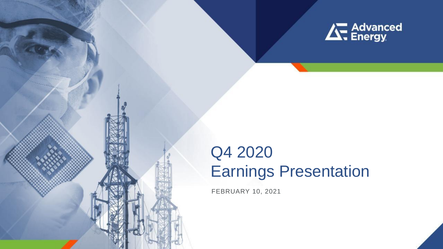

**1**

# Q4 2020 Earnings Presentation

FEBRUARY 10, 2021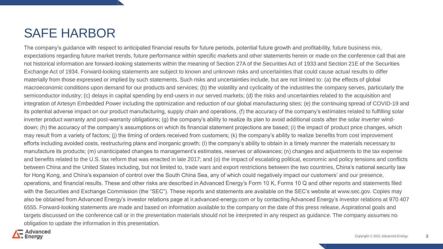## SAFE HARBOR

The company's guidance with respect to anticipated financial results for future periods, potential future growth and profitability, future business mix, expectations regarding future market trends, future performance within specific markets and other statements herein or made on the conference call that are not historical information are forward-looking statements within the meaning of Section 27A of the Securities Act of 1933 and Section 21E of the Securities Exchange Act of 1934. Forward-looking statements are subject to known and unknown risks and uncertainties that could cause actual results to differ materially from those expressed or implied by such statements. Such risks and uncertainties include, but are not limited to: (a) the effects of global macroeconomic conditions upon demand for our products and services; (b) the volatility and cyclicality of the industries the company serves, particularly the semiconductor industry; (c) delays in capital spending by end-users in our served markets; (d) the risks and uncertainties related to the acquisition and integration of Artesyn Embedded Power including the optimization and reduction of our global manufacturing sites; (e) the continuing spread of COVID-19 and its potential adverse impact on our product manufacturing, supply chain and operations, (f) the accuracy of the company's estimates related to fulfilling solar inverter product warranty and post-warranty obligations; (g) the company's ability to realize its plan to avoid additional costs after the solar inverter winddown; (h) the accuracy of the company's assumptions on which its financial statement projections are based; (i) the impact of product price changes, which may result from a variety of factors; (j) the timing of orders received from customers; (k) the company's ability to realize benefits from cost improvement efforts including avoided costs, restructuring plans and inorganic growth; (l) the company's ability to obtain in a timely manner the materials necessary to manufacture its products; (m) unanticipated changes to management's estimates, reserves or allowances; (n) changes and adjustments to the tax expense and benefits related to the U.S. tax reform that was enacted in late 2017; and (o) the impact of escalating political, economic and policy tensions and conflicts between China and the United States including, but not limited to, trade wars and export restrictions between the two countries, China's national security law for Hong Kong, and China's expansion of control over the South China Sea, any of which could negatively impact our customers' and our presence, operations, and financial results. These and other risks are described in Advanced Energy's Form 10 K, Forms 10 Q and other reports and statements filed with the Securities and Exchange Commission (the "SEC"). These reports and statements are available on the SEC's website at www.sec.gov. Copies may also be obtained from Advanced Energy's investor relations page at ir.advanced-energy.com or by contacting Advanced Energy's investor relations at 970 407 6555. Forward-looking statements are made and based on information available to the company on the date of this press release. Aspirational goals and targets discussed on the conference call or in the presentation materials should not be interpreted in any respect as guidance. The company assumes no obligation to update the information in this presentation.

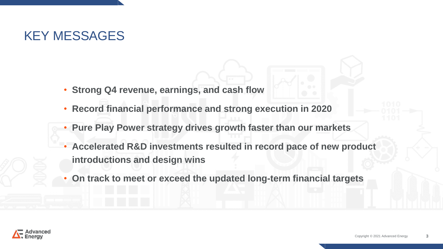### KEY MESSAGES

- **Strong Q4 revenue, earnings, and cash flow**
- **Record financial performance and strong execution in 2020**
- **Pure Play Power strategy drives growth faster than our markets**
- **Accelerated R&D investments resulted in record pace of new product introductions and design wins**
- **On track to meet or exceed the updated long-term financial targets**

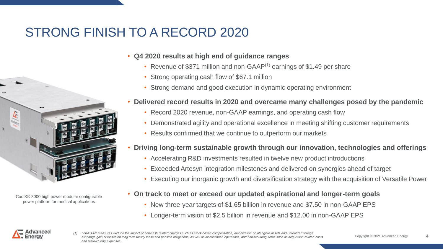## STRONG FINISH TO A RECORD 2020



CoolX® 3000 high power modular configurable power platform for medical applications

#### • **Q4 2020 results at high end of guidance ranges**

- Revenue of \$371 million and non-GAAP<sup>(1)</sup> earnings of \$1.49 per share
- Strong operating cash flow of \$67.1 million
- Strong demand and good execution in dynamic operating environment

#### • **Delivered record results in 2020 and overcame many challenges posed by the pandemic**

- Record 2020 revenue, non-GAAP earnings, and operating cash flow
- Demonstrated agility and operational excellence in meeting shifting customer requirements
- Results confirmed that we continue to outperform our markets

#### • **Driving long-term sustainable growth through our innovation, technologies and offerings**

- Accelerating R&D investments resulted in twelve new product introductions
- Exceeded Artesyn integration milestones and delivered on synergies ahead of target
- Executing our inorganic growth and diversification strategy with the acquisition of Versatile Power
- **On track to meet or exceed our updated aspirational and longer-term goals**
	- New three-year targets of \$1.65 billion in revenue and \$7.50 in non-GAAP EPS
	- Longer-term vision of \$2.5 billion in revenue and \$12.00 in non-GAAP EPS



non-GAAP measures exclude the impact of non-cash related charges such as stock-based compensation, amortization of intangible assets and unrealized foreign *exchange gain or losses on long term facility lease and pension obligations, as well as discontinued operations, and non-recurring items such as acquisition-related costs and restructuring expenses.* 

**4**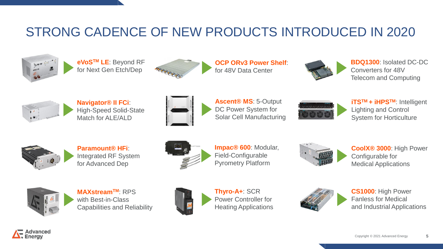## STRONG CADENCE OF NEW PRODUCTS INTRODUCED IN 2020



**eVoSTM LE**: Beyond RF for Next Gen Etch/Dep



**OCP ORv3 Power Shelf**: for 48V Data Center



**BDQ1300**: Isolated DC-DC Converters for 48V Telecom and Computing



**Navigator® II FCi**: High-Speed Solid-State Match for ALE/ALD



**Ascent® MS**: 5-Output DC Power System for Solar Cell Manufacturing



**iTSTM + iHPSTM**: Intelligent Lighting and Control System for Horticulture



**Paramount® HFi**: Integrated RF System for Advanced Dep



**Impac® 600**: Modular, Field-Configurable Pyrometry Platform



**CoolX® 3000**: High Power Configurable for Medical Applications



**MAXstreamTM**: RPS with Best-in-Class Capabilities and Reliability



**Thyro-A+**: SCR Power Controller for Heating Applications



**CS1000**: High Power Fanless for Medical and Industrial Applications

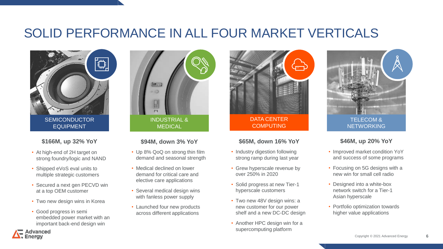### SOLID PERFORMANCE IN ALL FOUR MARKET VERTICALS



#### **\$166M, up 32% YoY**

- At high-end of 2H target on strong foundry/logic and NAND
- Shipped eVoS eval units to multiple strategic customers
- Secured a next gen PECVD win at a top OEM customer
- Two new design wins in Korea
- Good progress in semi embedded power market with an important back-end design win

Advanced Enerav



#### **\$94M, down 3% YoY**

- Up 8% QoQ on strong thin film demand and seasonal strength
- Medical declined on lower demand for critical care and elective care applications
- Several medical design wins with fanless power supply
- Launched four new products across different applications



#### **\$65M, down 16% YoY**

- Industry digestion following strong ramp during last year
- Grew hyperscale revenue by over 250% in 2020
- Solid progress at new Tier-1 hyperscale customers
- Two new 48V design wins: a new customer for our power shelf and a new DC-DC design
- Another HPC design win for a supercomputing platform



#### **\$46M, up 20% YoY**

- Improved market condition YoY and success of some programs
- Focusing on 5G designs with a new win for small cell radio
- Designed into a white-box network switch for a Tier-1 Asian hyperscale
- Portfolio optimization towards higher value applications

**6**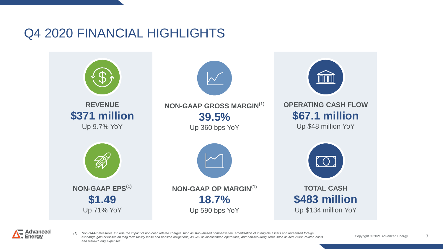### Q4 2020 FINANCIAL HIGHLIGHTS





*(1) Non-GAAP measures exclude the impact of non-cash related charges such as stock-based compensation, amortization of intangible assets and unrealized foreign exchange gain or losses on long term facility lease and pension obligations, as well as discontinued operations, and non-recurring items such as acquisition-related costs and restructuring expenses.*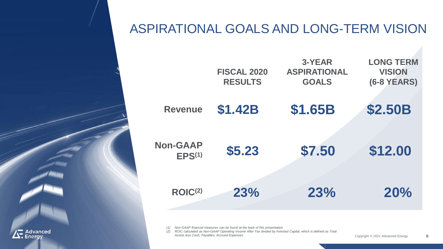#### ASPIRATIONAL GOALS AND LONG-TERM VISION



*(1) Non-GAAP financial measures can be found at the back of this presentation*

Advanced Energy

*(2) ROIC calculated as Non-GAAP Operating Income After Tax divided by Invested Capital, which is defined as Total*  Assets less Cash, Payables, Accrued Expenses. Copyright © 2021 Advanced Energy

**8**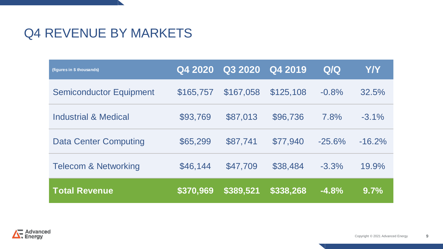### Q4 REVENUE BY MARKETS

| (figures in \$ thousands)       | Q4 2020   | Q3 2020   | Q4 2019   | Q/Q      | YN       |
|---------------------------------|-----------|-----------|-----------|----------|----------|
| <b>Semiconductor Equipment</b>  | \$165,757 | \$167,058 | \$125,108 | $-0.8%$  | 32.5%    |
| <b>Industrial &amp; Medical</b> | \$93,769  | \$87,013  | \$96,736  | 7.8%     | $-3.1\%$ |
| <b>Data Center Computing</b>    | \$65,299  | \$87,741  | \$77,940  | $-25.6%$ | $-16.2%$ |
| <b>Telecom &amp; Networking</b> | \$46,144  | \$47,709  | \$38,484  | $-3.3%$  | 19.9%    |
| <b>Total Revenue</b>            | \$370,969 | \$389,521 | \$338,268 | $-4.8%$  | 9.7%     |

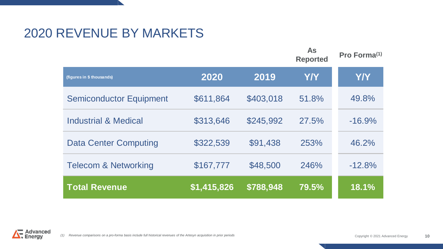#### 2020 REVENUE BY MARKETS

|                                 |             |           | <b>As</b><br><b>Reported</b> | Pro Forma <sup>(1)</sup> |
|---------------------------------|-------------|-----------|------------------------------|--------------------------|
| (figures in \$ thousands)       | 2020        | 2019      | YN                           | YN                       |
| <b>Semiconductor Equipment</b>  | \$611,864   | \$403,018 | 51.8%                        | 49.8%                    |
| <b>Industrial &amp; Medical</b> | \$313,646   | \$245,992 | 27.5%                        | $-16.9%$                 |
| <b>Data Center Computing</b>    | \$322,539   | \$91,438  | 253%                         | 46.2%                    |
| <b>Telecom &amp; Networking</b> | \$167,777   | \$48,500  | 246%                         | $-12.8%$                 |
| <b>Total Revenue</b>            | \$1,415,826 | \$788,948 | 79.5%                        | 18.1%                    |

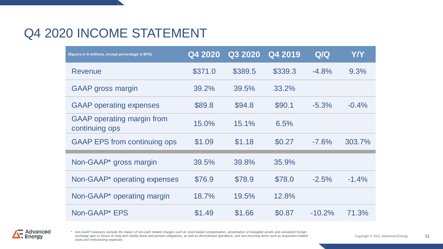## Q4 2020 INCOME STATEMENT

| (figures in \$ millions, except percentage & EPS)   | Q4 2020 | Q3 2020 | Q4 2019 | Q/Q      | YN      |
|-----------------------------------------------------|---------|---------|---------|----------|---------|
| Revenue                                             | \$371.0 | \$389.5 | \$339.3 | $-4.8%$  | 9.3%    |
| <b>GAAP</b> gross margin                            | 39.2%   | 39.5%   | 33.2%   |          |         |
| <b>GAAP</b> operating expenses                      | \$89.8  | \$94.8  | \$90.1  | $-5.3%$  | $-0.4%$ |
| <b>GAAP</b> operating margin from<br>continuing ops | 15.0%   | 15.1%   | 6.5%    |          |         |
| <b>GAAP EPS from continuing ops</b>                 | \$1.09  | \$1.18  | \$0.27  | $-7.6\%$ | 303.7%  |
| Non-GAAP <sup>*</sup> gross margin                  | 39.5%   | 39.8%   | 35.9%   |          |         |
| Non-GAAP <sup>*</sup> operating expenses            | \$76.9  | \$78.9  | \$78.0  | $-2.5%$  | $-1.4%$ |
| Non-GAAP <sup>*</sup> operating margin              | 18.7%   | 19.5%   | 12.8%   |          |         |
| Non-GAAP* EPS                                       | \$1.49  | \$1.66  | \$0.87  | $-10.2%$ | 71.3%   |



*\* non-GAAP measures exclude the impact of non-cash related charges such as stock-based compensation, amortization of intangible assets and unrealized foreign exchange gain or losses on long term facility lease and pension obligations, as well as discontinued operations, and non-recurring items such as acquisition-related costs and restructuring expenses.*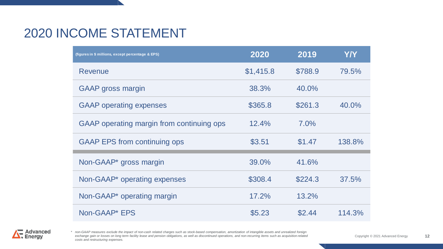## 2020 INCOME STATEMENT

| (figures in \$ millions, except percentage & EPS) | 2020      | 2019    | YN     |
|---------------------------------------------------|-----------|---------|--------|
| Revenue                                           | \$1,415.8 | \$788.9 | 79.5%  |
| <b>GAAP</b> gross margin                          | 38.3%     | 40.0%   |        |
| <b>GAAP</b> operating expenses                    | \$365.8   | \$261.3 | 40.0%  |
| GAAP operating margin from continuing ops         | 12.4%     | 7.0%    |        |
| <b>GAAP EPS from continuing ops</b>               | \$3.51    | \$1.47  | 138.8% |
| Non-GAAP* gross margin                            | 39.0%     | 41.6%   |        |
| Non-GAAP <sup>*</sup> operating expenses          | \$308.4   | \$224.3 | 37.5%  |
| Non-GAAP <sup>*</sup> operating margin            | 17.2%     | 13.2%   |        |
| Non-GAAP* EPS                                     | \$5.23    | \$2.44  | 114.3% |



*\* non-GAAP measures exclude the impact of non-cash related charges such as stock-based compensation, amortization of intangible assets and unrealized foreign exchange gain or losses on long term facility lease and pension obligations, as well as discontinued operations, and non-recurring items such as acquisition-related costs and restructuring expenses.*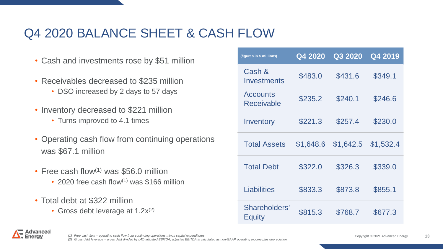## Q4 2020 BALANCE SHEET & CASH FLOW

- Cash and investments rose by \$51 million
- Receivables decreased to \$235 million
	- DSO increased by 2 days to 57 days
- Inventory decreased to \$221 million
	- Turns improved to 4.1 times
- Operating cash flow from continuing operations was \$67.1 million
- Free cash flow<sup>(1)</sup> was \$56.0 million
	- 2020 free cash flow $(1)$  was \$166 million
- Total debt at \$322 million
	- Gross debt leverage at  $1.2x^{(2)}$

| (figures in \$ millions)       | Q4 2020   | <b>Q3 2020</b> | Q4 2019   |
|--------------------------------|-----------|----------------|-----------|
| Cash &<br>Investments          | \$483.0   | \$431.6        | \$349.1   |
| <b>Accounts</b><br>Receivable  | \$235.2   | \$240.1        | \$246.6   |
| Inventory                      | \$221.3   | \$257.4        | \$230.0   |
| <b>Total Assets</b>            | \$1,648.6 | \$1,642.5      | \$1,532.4 |
| <b>Total Debt</b>              | \$322.0   | \$326.3        | \$339.0   |
| <b>Liabilities</b>             | \$833.3   | \$873.8        | \$855.1   |
| Shareholders'<br><b>Equity</b> | \$815.3   | \$768.7        | \$677.3   |

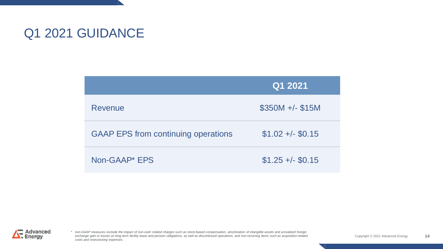## Q1 2021 GUIDANCE

|                                            | Q1 2021           |
|--------------------------------------------|-------------------|
| Revenue                                    | $$350M +/- $15M$  |
| <b>GAAP EPS from continuing operations</b> | $$1.02 +/- $0.15$ |
| Non-GAAP* EPS                              | $$1.25 +/- $0.15$ |



*\* non-GAAP measures exclude the impact of non-cash related charges such as stock-based compensation, amortization of intangible assets and unrealized foreign*  exchange gain or losses on long term facility lease and pension obligations, as well as discontinued operations, and non-recurring items such as acquisition-related *costs and restructuring expenses.*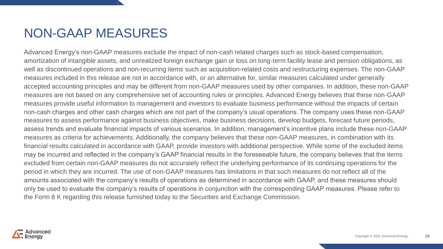### NON-GAAP MEASURES

Advanced Energy's non-GAAP measures exclude the impact of non-cash related charges such as stock-based compensation, amortization of intangible assets, and unrealized foreign exchange gain or loss on long-term facility lease and pension obligations, as well as discontinued operations and non-recurring items such as acquisition-related costs and restructuring expenses. The non-GAAP measures included in this release are not in accordance with, or an alternative for, similar measures calculated under generally accepted accounting principles and may be different from non-GAAP measures used by other companies. In addition, these non-GAAP measures are not based on any comprehensive set of accounting rules or principles. Advanced Energy believes that these non-GAAP measures provide useful information to management and investors to evaluate business performance without the impacts of certain non-cash charges and other cash charges which are not part of the company's usual operations. The company uses these non-GAAP measures to assess performance against business objectives, make business decisions, develop budgets, forecast future periods, assess trends and evaluate financial impacts of various scenarios. In addition, management's incentive plans include these non-GAAP measures as criteria for achievements. Additionally, the company believes that these non-GAAP measures, in combination with its financial results calculated in accordance with GAAP, provide investors with additional perspective. While some of the excluded items may be incurred and reflected in the company's GAAP financial results in the foreseeable future, the company believes that the items excluded from certain non-GAAP measures do not accurately reflect the underlying performance of its continuing operations for the period in which they are incurred. The use of non-GAAP measures has limitations in that such measures do not reflect all of the amounts associated with the company's results of operations as determined in accordance with GAAP, and these measures should only be used to evaluate the company's results of operations in conjunction with the corresponding GAAP measures. Please refer to the Form 8 K regarding this release furnished today to the Securities and Exchange Commission.

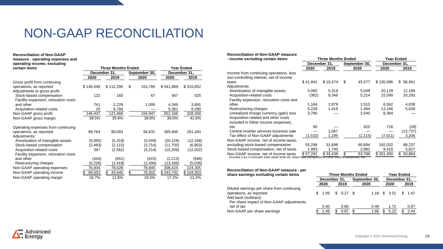## NON-GAAP RECONCILIATION

#### **Reconciliation of Non-GAAP measure - operating expenses and operating income, excluding**

| certain items                        |              | <b>Three Months Ended</b> | <b>Year Ended</b> |               |              |           |
|--------------------------------------|--------------|---------------------------|-------------------|---------------|--------------|-----------|
|                                      | December 31, |                           |                   | September 30, | December 31, |           |
|                                      | 2020         | 2019                      | 2020              |               | 2020         | 2019      |
| Gross profit from continuing         |              |                           |                   |               |              |           |
| operations, as reported              | \$145,549    | \$112,295                 | \$                | 153,785       | \$541,869    | \$315,652 |
| Adjustments to gross profit:         |              |                           |                   |               |              |           |
| Stock-based compensation             | 122          | 160                       |                   | 67            | 567          | 525       |
| Facility expansion, relocation costs |              |                           |                   |               |              |           |
| and other                            | 741          | 2,229                     |                   | 1,095         | 4,349        | 3,891     |
| Acquisition-related costs            | 25           | 6,784                     |                   |               | 5,381        | 8,290     |
| Non-GAAP gross profit                | 146,437      | 121,468                   |                   | 154,947       | 552,166      | 328,358   |
| Non-GAAP gross margin                | 39.5%        | 35.9%                     |                   | 39.8%         | 39.0%        | 41.6%     |
| Operating expenses from continuing   |              |                           |                   |               |              |           |
| operations, as reported              | 89,764       | 90,093                    |                   | 94,831        | 365,846      | 261,264   |
| Adjustments:                         |              |                           |                   |               |              |           |
| Amortization of intangible assets    | (5,065)      | (5,319)                   |                   | (5,049)       | (20, 129)    | (12, 168) |
| Stock-based compensation             | (2, 483)     | (2, 115)                  |                   | (3,714)       | (11, 705)    | (6,803)   |
| Acquisition-related costs            | 387          | (2, 562)                  |                   | (5,214)       | (10, 209)    | (12,002)  |
| Facility expansion, relocation costs |              |                           |                   |               |              |           |
| and other                            | (443)        | (651)                     |                   | (415)         | (2,213)      | (948)     |
| Restructuring charges                | (5,226)      | (1, 418)                  |                   | (1, 494)      | (13,166)     | (5,038)   |
| Non-GAAP operating expenses          | 76,934       | 78,028                    |                   | 78,945        | 308,424      | 224,305   |
| Non-GAAP operating income            | 69,503<br>S  | 43,440<br>S               | \$                | 76,002        | \$243,742    | \$104,053 |
| Non-GAAP operating margin            | 18.7%        | 12.8%                     |                   | 19.5%         | 17.2%        | 13.2%     |

#### **Reconciliation of Non-GAAP measure**

| - income excluding certain items                                                                  | <b>Three Months Ended</b> |                         |              |          |           |             |
|---------------------------------------------------------------------------------------------------|---------------------------|-------------------------|--------------|----------|-----------|-------------|
|                                                                                                   | December 31,              |                         | December 31, |          |           |             |
|                                                                                                   | 2020                      | 2019                    | 2020         |          | 2020      | 2019        |
| Income from continuing operations, less                                                           |                           |                         |              |          |           |             |
| non-controlling interest, net of income                                                           |                           |                         |              |          |           |             |
| taxes                                                                                             | \$41,841                  | \$10,474                | \$           | 45,577   | \$135,096 | \$56,461    |
| Adjustments:                                                                                      |                           |                         |              |          |           |             |
| Amortization of intangible assets                                                                 | 5,065                     | 5,319                   |              | 5,049    | 20.129    | 12,168      |
| Acquisition-related costs                                                                         | (362)                     | 9,346                   |              | 5,214    | 15,590    | 20,292      |
| Facility expansion, relocation costs and                                                          |                           |                         |              |          |           |             |
| other                                                                                             | 1,184                     | 2,879                   |              | 1,510    | 6,562     | 4,838       |
| Restructuring charges                                                                             | 5,226                     | 1,418                   |              | 1,494    | 13,166    | 5,038       |
| Unrealized foreign currency (gain) loss                                                           | 3,786                     |                         |              | 3,540    | 8,384     |             |
| Acquisition-related and other costs                                                               |                           |                         |              |          |           |             |
| included in Other income (expense),                                                               |                           |                         |              |          |           |             |
| net                                                                                               | 90                        |                         |              | 625      | 716       | (29)        |
| Central inverter services business sale                                                           |                           | 1,067                   |              |          |           | (13, 737)   |
| Tax effect of Non-GAAP adjustments                                                                | (1,532)                   | 1,195                   |              | (2, 115) | (7,611)   | 3,206       |
| Non-GAAP income, net of income taxes,                                                             |                           |                         |              |          |           |             |
| excluding stock-based compensation                                                                | 55,298                    | 31,698                  |              | 60,894   | 192,032   | 88,237      |
| Stock-based compensation, net of taxes                                                            | 1,993                     | 1,740                   |              | 2,892    | 9,418     | 5,627       |
| Non-GAAP income, net of income taxes<br>includes a $2774$ percept fixed asset write off which was | \$57,291                  | \$33,438<br><del></del> | \$           | 63,786   | \$201,450 | 93,864<br>S |

includes a \$274 noncash fixed asset write-off, which was recognized in Other income (expense), net.

#### **Reconciliation of Non-GAAP measure - per share earnings excluding certain items Three Months Ended Year Ended**

| share earnings excluding certain items                                                                                                     | i nree Montris Engeg |        |  |            |  |               |              | rear Ended   |  |         |  |  |
|--------------------------------------------------------------------------------------------------------------------------------------------|----------------------|--------|--|------------|--|---------------|--------------|--------------|--|---------|--|--|
|                                                                                                                                            | December 31          |        |  |            |  | September 30. | December 31. |              |  |         |  |  |
|                                                                                                                                            |                      | 2020   |  | 2019       |  | 2020          |              | 2020         |  | 2019    |  |  |
| Diluted earnings per share from continuing<br>operations, as reported<br>Add back (subtract):<br>Per share impact of Non-GAAP adjustments, |                      | \$1.09 |  | \$ 0.27 \$ |  |               |              | 1.18 \$ 3.51 |  | \$ 1.47 |  |  |
| net of tax                                                                                                                                 |                      | 0.40   |  | 0.60       |  | 0.48          |              | 1.72         |  | 0.97    |  |  |
| Non-GAAP per share earnings                                                                                                                |                      | 1.49   |  | 0.87       |  | 1.66          |              | 5.23         |  | 2.44    |  |  |